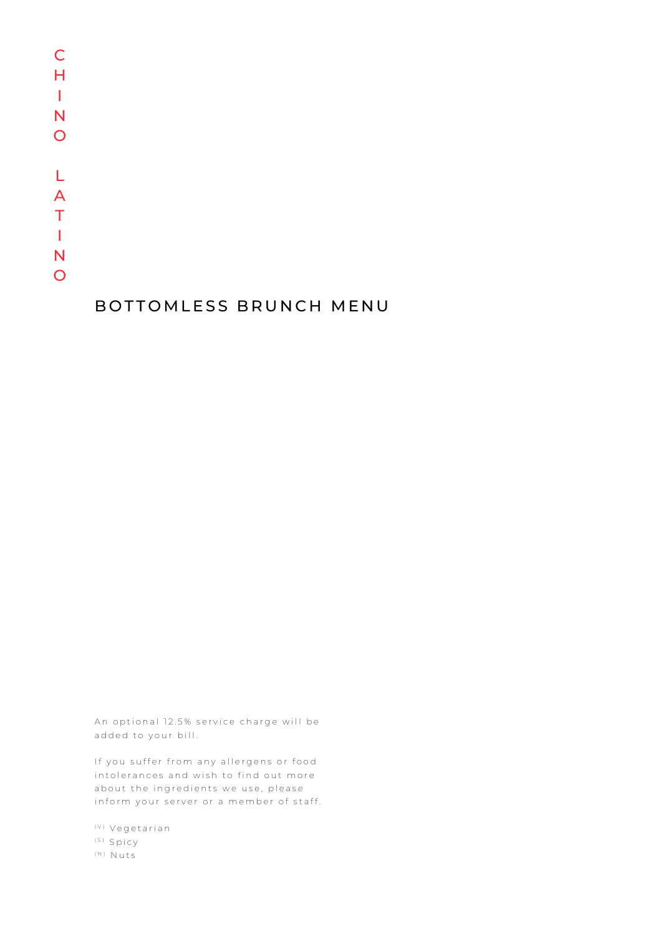## BOTTOMLESS BRUNCH MENU

An optional 12.5% service charge will be added to your bill.

If you suffer from any allergens or food intolerances and wish to find out more about the ingredients we use, please inform your server or a member of staff.

(V) Vegetarian (S) Spicy (N) Nuts